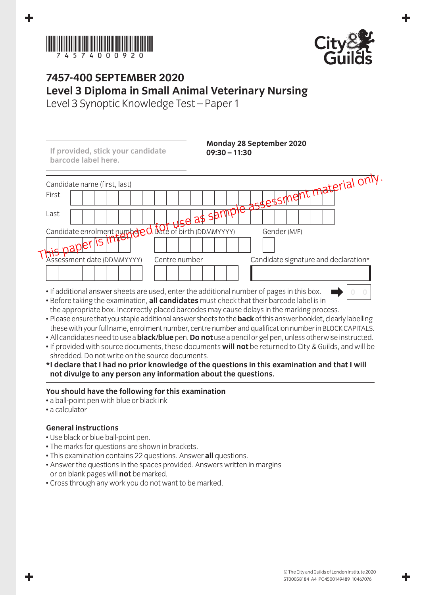



## **7457-400 September 2020 Level 3 Diploma in Small Animal Veterinary Nursing**

Level 3 Synoptic Knowledge Test – Paper 1

| If provided, stick your candidate<br>barcode label here.                                  | $09:30 - 11:30$                                                                                                | Monday 28 September 2020             |
|-------------------------------------------------------------------------------------------|----------------------------------------------------------------------------------------------------------------|--------------------------------------|
| Candidate name (first, last)                                                              |                                                                                                                |                                      |
| First                                                                                     |                                                                                                                | te assessment material only.         |
| Last                                                                                      | tise as sampt                                                                                                  |                                      |
| Candidate enrolment purpoled date of birth (DDMMYYYY)                                     |                                                                                                                | Gender (M/F)                         |
| 15<br>$+paplerh$                                                                          |                                                                                                                |                                      |
| Assessment date (DDMMYYYY)                                                                | Centre number                                                                                                  | Candidate signature and declaration* |
|                                                                                           |                                                                                                                |                                      |
| • If additional answer sheets are used, enter the additional number of pages in this box. | the contract of the state of the state of the state of the state of the state of the state of the state of the |                                      |

- Before taking the examination, **all candidates** must check that their barcode label is in the appropriate box. Incorrectly placed barcodes may cause delays in the marking process.
- Please ensure that you staple additional answer sheets to the **back** of this answer booklet, clearly labelling these with your full name, enrolment number, centre number and qualification number in BLOCK CAPITALS.
- All candidates need to use a **black/blue** pen. **Do not** use a pencil or gel pen, unless otherwise instructed.
- If provided with source documents, these documents **will not** be returned to City & Guilds, and will be shredded. Do not write on the source documents.
- **\* I declare that I had no prior knowledge of the questions in this examination and that I will not divulge to any person any information about the questions.**

## **You should have the following for this examination**

- a ball-point pen with blue or black ink
- a calculator

## **General instructions**

- Use black or blue ball-point pen.
- The marks for questions are shown in brackets.
- This examination contains 22 questions. Answer **all** questions.
- Answer the questions in the spaces provided. Answers written in margins or on blank pages will **not** be marked.
- Cross through any work you do not want to be marked.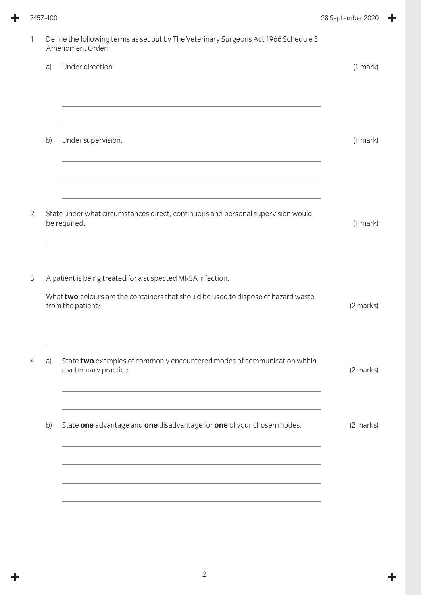÷

|    | Define the following terms as set out by The Veterinary Surgeons Act 1966 Schedule 3<br>Amendment Order:                                                              |               |
|----|-----------------------------------------------------------------------------------------------------------------------------------------------------------------------|---------------|
| a) | Under direction.                                                                                                                                                      | $(1$ mark $)$ |
| b) | Under supervision.                                                                                                                                                    | (1 mark)      |
|    | State under what circumstances direct, continuous and personal supervision would<br>be required.                                                                      | (1 mark)      |
|    | A patient is being treated for a suspected MRSA infection.<br>What two colours are the containers that should be used to dispose of hazard waste<br>from the patient? | (2 marks)     |
| a) | State two examples of commonly encountered modes of communication within<br>a veterinary practice.                                                                    | (2 marks)     |
| b) | State one advantage and one disadvantage for one of your chosen modes.                                                                                                | (2 marks)     |
|    |                                                                                                                                                                       |               |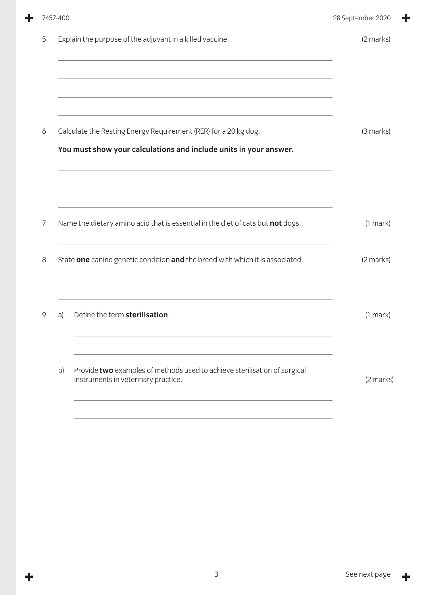|   | 7457-400 |                                                                                                                                      | 28 September 2020 |
|---|----------|--------------------------------------------------------------------------------------------------------------------------------------|-------------------|
| 5 |          | Explain the purpose of the adjuvant in a killed vaccine.                                                                             | (2 marks)         |
| 6 |          | Calculate the Resting Energy Requirement (RER) for a 20 kg dog.<br>You must show your calculations and include units in your answer. | (3 marks)         |
| 7 |          | Name the dietary amino acid that is essential in the diet of cats but not dogs.                                                      | $(1$ mark $)$     |
| 8 |          | State one canine genetic condition and the breed with which it is associated.                                                        | (2 marks)         |
| 9 | a)       | Define the term sterilisation.                                                                                                       | $(1$ mark $)$     |
|   | b)       | Provide two examples of methods used to achieve sterilisation of surgical<br>instruments in veterinary practice.                     | (2 marks)         |
|   |          |                                                                                                                                      |                   |

 $\ddot{\phantom{1}}$ 

 $\ddagger$ 

╋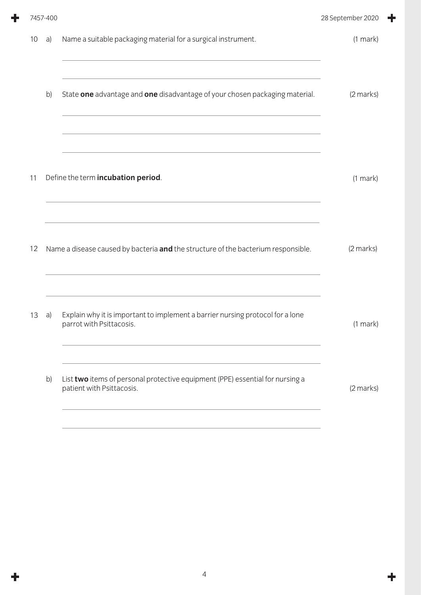|    | 7457-400 |                                                                                                            | 28 September 2020 |
|----|----------|------------------------------------------------------------------------------------------------------------|-------------------|
| 10 | a)       | Name a suitable packaging material for a surgical instrument.                                              | $(1$ mark $)$     |
|    | b)       | State one advantage and one disadvantage of your chosen packaging material.                                | (2 marks)         |
| 11 |          | Define the term incubation period.                                                                         | $(1$ mark $)$     |
| 12 |          | Name a disease caused by bacteria and the structure of the bacterium responsible.                          | (2 marks)         |
| 13 | a)       | Explain why it is important to implement a barrier nursing protocol for a lone<br>parrot with Psittacosis. | $(1$ mark)        |
|    | b)       | List two items of personal protective equipment (PPE) essential for nursing a<br>patient with Psittacosis. | (2 marks)         |
|    |          |                                                                                                            |                   |

╋

 $\ddot{\phantom{1}}$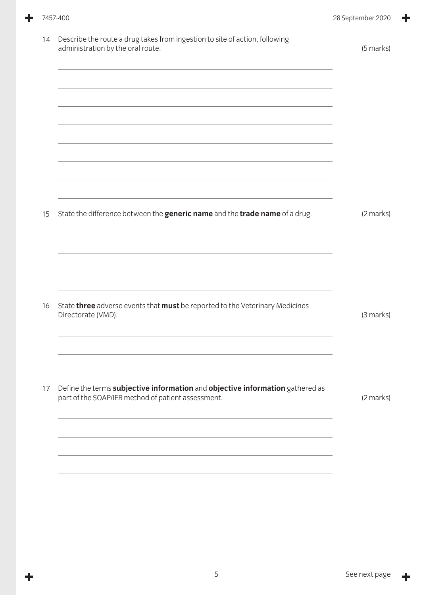÷

╋

| 14 | Describe the route a drug takes from ingestion to site of action, following<br>administration by the oral route.                    | (5 marks) |
|----|-------------------------------------------------------------------------------------------------------------------------------------|-----------|
|    |                                                                                                                                     |           |
|    |                                                                                                                                     |           |
|    |                                                                                                                                     |           |
| 15 | State the difference between the generic name and the trade name of a drug.                                                         | (2 marks) |
|    |                                                                                                                                     |           |
|    |                                                                                                                                     |           |
| 16 | State three adverse events that must be reported to the Veterinary Medicines<br>Directorate (VMD).                                  | (3 marks) |
|    |                                                                                                                                     |           |
| 17 | Define the terms subjective information and objective information gathered as<br>part of the SOAP/IER method of patient assessment. | (2 marks) |
|    |                                                                                                                                     |           |
|    |                                                                                                                                     |           |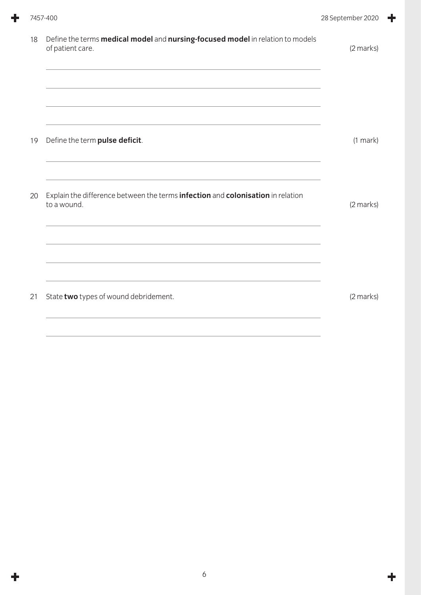| 18 | Define the terms <b>medical model</b> and <b>nursing-focused model</b> in relation to models<br>of patient care. | (2 marks)     |
|----|------------------------------------------------------------------------------------------------------------------|---------------|
| 19 | Define the term pulse deficit.                                                                                   | $(1$ mark $)$ |
| 20 | Explain the difference between the terms infection and colonisation in relation<br>to a wound.                   | (2 marks)     |
| 21 | State two types of wound debridement.                                                                            | (2 marks)     |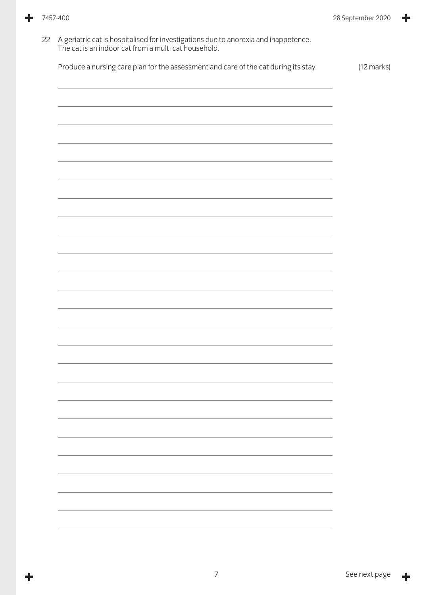÷

÷

| Produce a nursing care plan for the assessment and care of the cat during its stay.                              | $(12 \text{ marks})$ |
|------------------------------------------------------------------------------------------------------------------|----------------------|
|                                                                                                                  |                      |
|                                                                                                                  |                      |
|                                                                                                                  |                      |
|                                                                                                                  |                      |
|                                                                                                                  |                      |
|                                                                                                                  |                      |
|                                                                                                                  |                      |
|                                                                                                                  |                      |
| and the control of the control of the control of the control of the control of the control of the control of the |                      |
|                                                                                                                  |                      |
|                                                                                                                  |                      |
|                                                                                                                  |                      |
|                                                                                                                  |                      |
|                                                                                                                  |                      |
|                                                                                                                  |                      |
|                                                                                                                  |                      |
|                                                                                                                  |                      |
| the control of the control of the control of the control of the control of the control of                        |                      |
|                                                                                                                  |                      |
|                                                                                                                  |                      |
|                                                                                                                  |                      |
|                                                                                                                  |                      |
|                                                                                                                  |                      |
|                                                                                                                  |                      |
|                                                                                                                  |                      |
|                                                                                                                  |                      |
|                                                                                                                  |                      |
|                                                                                                                  |                      |
|                                                                                                                  |                      |
|                                                                                                                  |                      |
|                                                                                                                  |                      |
|                                                                                                                  |                      |
|                                                                                                                  |                      |
|                                                                                                                  |                      |
|                                                                                                                  |                      |
|                                                                                                                  |                      |